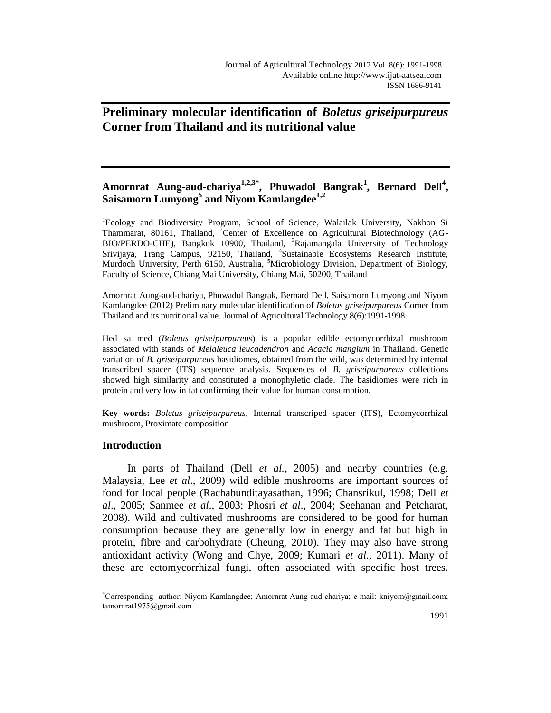# **Preliminary molecular identification of** *Boletus griseipurpureus* **Corner from Thailand and its nutritional value**

## Amornrat Aung-aud-chariya<sup>1,2,3\*</sup>, Phuwadol Bangrak<sup>1</sup>, Bernard Dell<sup>4</sup>, **Saisamorn Lumyong<sup>5</sup> and Niyom Kamlangdee1,2**

<sup>1</sup>Ecology and Biodiversity Program, School of Science, Walailak University, Nakhon Si Thammarat, 80161, Thailand, <sup>2</sup>Center of Excellence on Agricultural Biotechnology (AG-BIO/PERDO-CHE), Bangkok 10900, Thailand, <sup>3</sup>Rajamangala University of Technology Srivijaya, Trang Campus, 92150, Thailand, <sup>4</sup>Sustainable Ecosystems Research Institute, Murdoch University, Perth 6150, Australia, <sup>5</sup>Microbiology Division, Department of Biology, Faculty of Science, Chiang Mai University, Chiang Mai, 50200, Thailand

Amornrat Aung-aud-chariya, Phuwadol Bangrak, Bernard Dell, Saisamorn Lumyong and Niyom Kamlangdee (2012) Preliminary molecular identification of *Boletus griseipurpureus* Corner from Thailand and its nutritional value. Journal of Agricultural Technology 8(6):1991-1998.

Hed sa med (*Boletus griseipurpureus*) is a popular edible ectomycorrhizal mushroom associated with stands of *Melaleuca leucadendron* and *Acacia mangium* in Thailand. Genetic variation of *B. griseipurpureus* basidiomes, obtained from the wild, was determined by internal transcribed spacer (ITS) sequence analysis. Sequences of *B. griseipurpureus* collections showed high similarity and constituted a monophyletic clade. The basidiomes were rich in protein and very low in fat confirming their value for human consumption.

**Key words:** *Boletus griseipurpureus*, Internal transcriped spacer (ITS), Ectomycorrhizal mushroom, Proximate composition

## **Introduction**

 $\overline{a}$ 

In parts of Thailand (Dell *et al.,* 2005) and nearby countries (e.g. Malaysia, Lee *et al*., 2009) wild edible mushrooms are important sources of food for local people (Rachabunditayasathan, 1996; Chansrikul, 1998; Dell *et al*., 2005; Sanmee *et al*., 2003; Phosri *et al*., 2004; Seehanan and Petcharat, 2008). Wild and cultivated mushrooms are considered to be good for human consumption because they are generally low in energy and fat but high in protein, fibre and carbohydrate (Cheung, 2010). They may also have strong antioxidant activity (Wong and Chye, 2009; Kumari *et al.,* 2011). Many of these are ectomycorrhizal fungi, often associated with specific host trees.

<sup>\*</sup>Corresponding author: Niyom Kamlangdee; Amornrat Aung-aud-chariya; e-mail: kniyom@gmail.com; tamornrat1975@gmail.com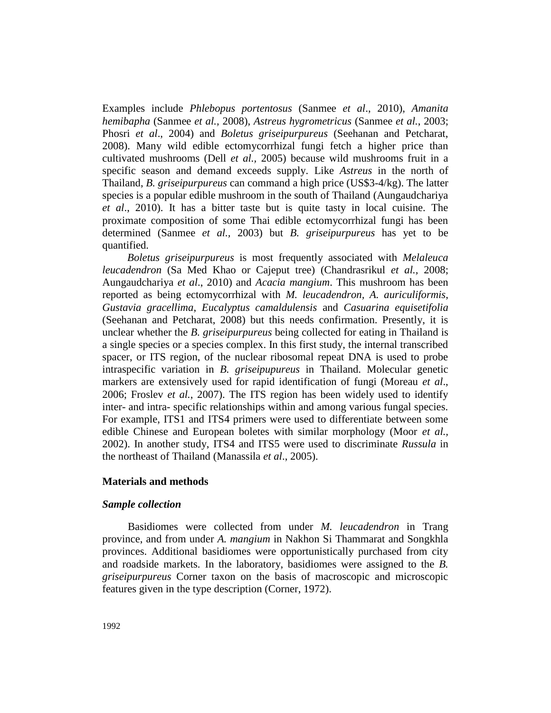Examples include *Phlebopus portentosus* (Sanmee *et al*., 2010), *Amanita hemibapha* (Sanmee *et al.,* 2008), *Astreus hygrometricus* (Sanmee *et al.*, 2003; Phosri *et al*., 2004) and *Boletus griseipurpureus* (Seehanan and Petcharat, 2008). Many wild edible ectomycorrhizal fungi fetch a higher price than cultivated mushrooms (Dell *et al.,* 2005) because wild mushrooms fruit in a specific season and demand exceeds supply. Like *Astreus* in the north of Thailand, *B. griseipurpureus* can command a high price (US\$3-4/kg). The latter species is a popular edible mushroom in the south of Thailand (Aungaudchariya *et al*., 2010). It has a bitter taste but is quite tasty in local cuisine. The proximate composition of some Thai edible ectomycorrhizal fungi has been determined (Sanmee *et al.,* 2003) but *B. griseipurpureus* has yet to be quantified.

*Boletus griseipurpureus* is most frequently associated with *Melaleuca leucadendron* (Sa Med Khao or Cajeput tree) (Chandrasrikul *et al.,* 2008; Aungaudchariya *et al*., 2010) and *Acacia mangium*. This mushroom has been reported as being ectomycorrhizal with *M. leucadendron, A. auriculiformis*, *Gustavia gracellima*, *Eucalyptus camaldulensis* and *Casuarina equisetifolia*  (Seehanan and Petcharat, 2008) but this needs confirmation. Presently, it is unclear whether the *B. griseipurpureus* being collected for eating in Thailand is a single species or a species complex. In this first study, the internal transcribed spacer, or ITS region, of the nuclear ribosomal repeat DNA is used to probe intraspecific variation in *B. griseipupureus* in Thailand. Molecular genetic markers are extensively used for rapid identification of fungi (Moreau *et al*., 2006; Froslev *et al.*, 2007). The ITS region has been widely used to identify inter- and intra- specific relationships within and among various fungal species. For example, ITS1 and ITS4 primers were used to differentiate between some edible Chinese and European boletes with similar morphology (Moor *et al.,* 2002). In another study, ITS4 and ITS5 were used to discriminate *Russula* in the northeast of Thailand (Manassila *et al*., 2005).

## **Materials and methods**

#### *Sample collection*

Basidiomes were collected from under *M. leucadendron* in Trang province, and from under *A. mangium* in Nakhon Si Thammarat and Songkhla provinces. Additional basidiomes were opportunistically purchased from city and roadside markets. In the laboratory, basidiomes were assigned to the *B. griseipurpureus* Corner taxon on the basis of macroscopic and microscopic features given in the type description (Corner, 1972).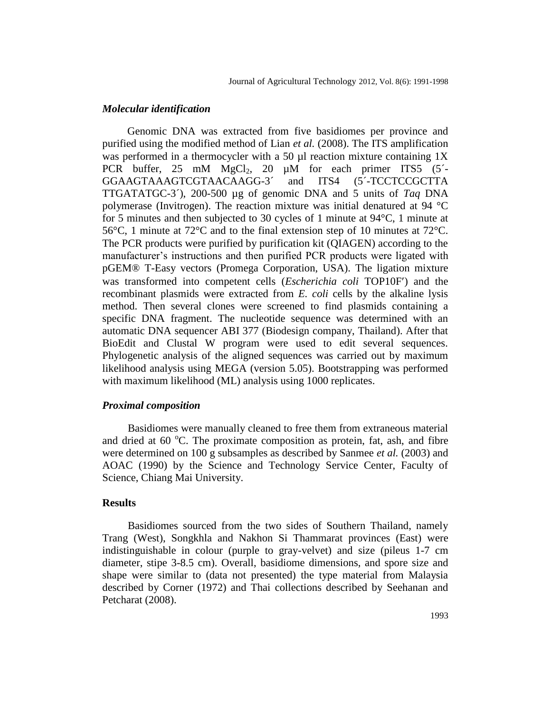#### *Molecular identification*

Genomic DNA was extracted from five basidiomes per province and purified using the modified method of Lian *et al.* (2008). The ITS amplification was performed in a thermocycler with a 50  $\mu$ l reaction mixture containing 1X PCR buffer,  $25 \text{ mM } MgCl<sub>2</sub>$ ,  $20 \text{ µM}$  for each primer ITS5 (5<sup> $-$ </sup>) GGAAGTAAAGTCGTAACAAGG-3´ and ITS4 (5´-TCCTCCGCTTA TTGATATGC-3´), 200-500 µg of genomic DNA and 5 units of *Taq* DNA polymerase (Invitrogen). The reaction mixture was initial denatured at 94 °C for 5 minutes and then subjected to 30 cycles of 1 minute at 94°C, 1 minute at 56°C, 1 minute at 72°C and to the final extension step of 10 minutes at 72°C. The PCR products were purified by purification kit (QIAGEN) according to the manufacturer's instructions and then purified PCR products were ligated with pGEM® T-Easy vectors (Promega Corporation, USA). The ligation mixture was transformed into competent cells (*Escherichia coli* TOP10F) and the recombinant plasmids were extracted from *E. coli* cells by the alkaline lysis method. Then several clones were screened to find plasmids containing a specific DNA fragment. The nucleotide sequence was determined with an automatic DNA sequencer ABI 377 (Biodesign company, Thailand). After that BioEdit and Clustal W program were used to edit several sequences. Phylogenetic analysis of the aligned sequences was carried out by maximum likelihood analysis using MEGA (version 5.05). Bootstrapping was performed with maximum likelihood (ML) analysis using 1000 replicates.

#### *Proximal composition*

Basidiomes were manually cleaned to free them from extraneous material and dried at  $60^{\circ}$ C. The proximate composition as protein, fat, ash, and fibre were determined on 100 g subsamples as described by Sanmee *et al.* (2003) and AOAC (1990) by the Science and Technology Service Center, Faculty of Science, Chiang Mai University.

## **Results**

Basidiomes sourced from the two sides of Southern Thailand, namely Trang (West), Songkhla and Nakhon Si Thammarat provinces (East) were indistinguishable in colour (purple to gray-velvet) and size (pileus 1-7 cm diameter, stipe 3-8.5 cm). Overall, basidiome dimensions, and spore size and shape were similar to (data not presented) the type material from Malaysia described by Corner (1972) and Thai collections described by Seehanan and Petcharat (2008).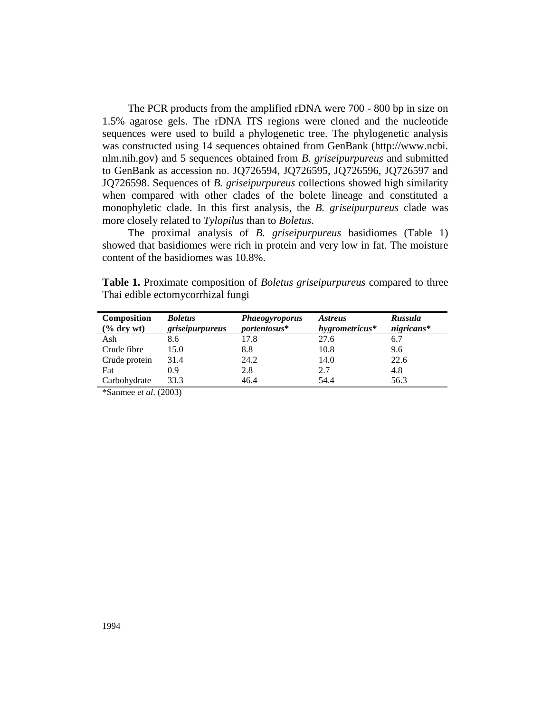The PCR products from the amplified rDNA were 700 - 800 bp in size on 1.5% agarose gels. The rDNA ITS regions were cloned and the nucleotide sequences were used to build a phylogenetic tree. The phylogenetic analysis was constructed using 14 sequences obtained from GenBank (http://www.ncbi. nlm.nih.gov) and 5 sequences obtained from *B. griseipurpureus* and submitted to GenBank as accession no. JQ726594, JQ726595, JQ726596, JQ726597 and JQ726598. Sequences of *B. griseipurpureus* collections showed high similarity when compared with other clades of the bolete lineage and constituted a monophyletic clade. In this first analysis, the *B. griseipurpureus* clade was more closely related to *Tylopilus* than to *Boletus*.

The proximal analysis of *B. griseipurpureus* basidiomes (Table 1) showed that basidiomes were rich in protein and very low in fat. The moisture content of the basidiomes was 10.8%.

| Composition      | <b>Boletus</b>  | <b>Phaeogyroporus</b> | <i><b>Astreus</b></i> | <b>Russula</b> |
|------------------|-----------------|-----------------------|-----------------------|----------------|
| $(\%$ dry wt $)$ | griseipurpureus | portentosus*          | hygrometricus*        | $nigricans*$   |
| Ash              | 8.6             | 17.8                  | 27.6                  | 6.7            |
| Crude fibre      | 15.0            | 8.8                   | 10.8                  | 9.6            |
| Crude protein    | 31.4            | 24.2                  | 14.0                  | 22.6           |
| Fat              | 0.9             | 2.8                   | 2.7                   | 4.8            |
| Carbohydrate     | 33.3            | 46.4                  | 54.4                  | 56.3           |

**Table 1.** Proximate composition of *Boletus griseipurpureus* compared to three Thai edible ectomycorrhizal fungi

\*Sanmee *et al*. (2003)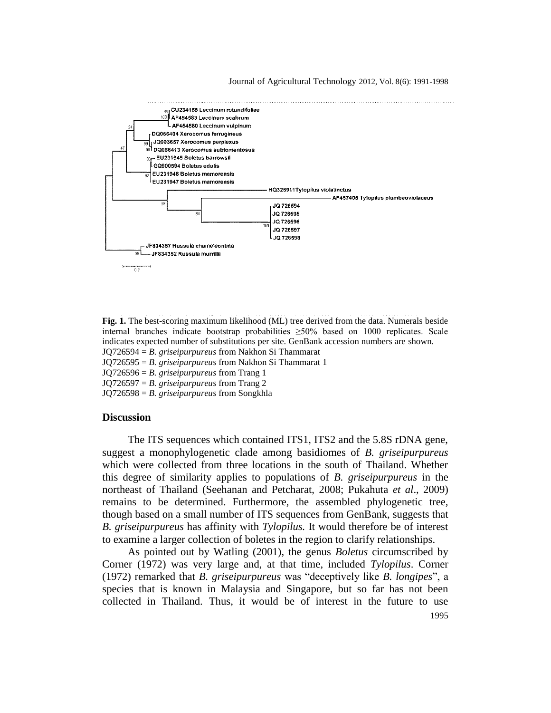#### Journal of Agricultural Technology 2012, Vol. 8(6): 1991-1998



**Fig. 1.** The best-scoring maximum likelihood (ML) tree derived from the data. Numerals beside internal branches indicate bootstrap probabilities  $\geq 50\%$  based on 1000 replicates. Scale indicates expected number of substitutions per site. GenBank accession numbers are shown. JQ726594 = *B. griseipurpureus* from Nakhon Si Thammarat

JQ726595 = *B. griseipurpureus* from Nakhon Si Thammarat 1

JQ726596 = *B. griseipurpureus* from Trang 1 JQ726597 = *B. griseipurpureus* from Trang 2

JQ726598 = *B. griseipurpureus* from Songkhla

**Discussion**

The ITS sequences which contained ITS1, ITS2 and the 5.8S rDNA gene, suggest a monophylogenetic clade among basidiomes of *B. griseipurpureus* which were collected from three locations in the south of Thailand. Whether this degree of similarity applies to populations of *B. griseipurpureus* in the northeast of Thailand (Seehanan and Petcharat, 2008; Pukahuta *et al*., 2009) remains to be determined. Furthermore, the assembled phylogenetic tree, though based on a small number of ITS sequences from GenBank, suggests that *B. griseipurpureus* has affinity with *Tylopilus.* It would therefore be of interest to examine a larger collection of boletes in the region to clarify relationships.

1995 As pointed out by Watling (2001), the genus *Boletus* circumscribed by Corner (1972) was very large and, at that time, included *Tylopilus*. Corner (1972) remarked that *B. griseipurpureus* was "deceptively like *B. longipes*", a species that is known in Malaysia and Singapore, but so far has not been collected in Thailand. Thus, it would be of interest in the future to use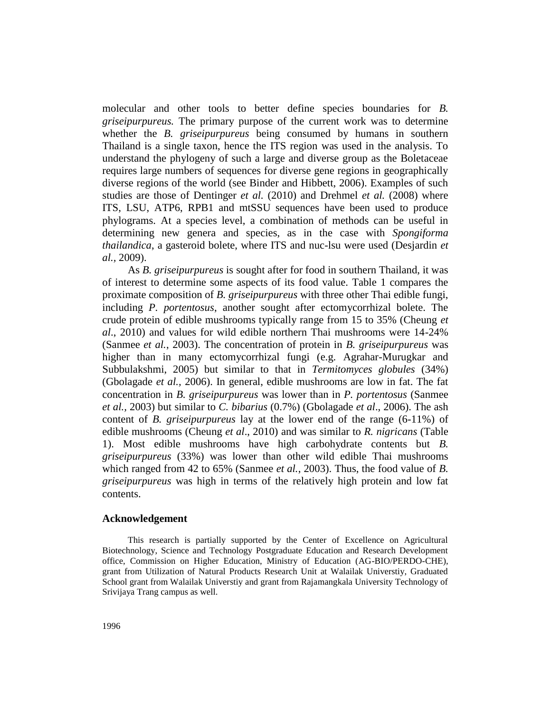molecular and other tools to better define species boundaries for *B. griseipurpureus.* The primary purpose of the current work was to determine whether the *B. griseipurpureus* being consumed by humans in southern Thailand is a single taxon, hence the ITS region was used in the analysis. To understand the phylogeny of such a large and diverse group as the Boletaceae requires large numbers of sequences for diverse gene regions in geographically diverse regions of the world (see Binder and Hibbett, 2006). Examples of such studies are those of Dentinger *et al.* (2010) and Drehmel *et al.* (2008) where ITS, LSU, ATP6, RPB1 and mtSSU sequences have been used to produce phylograms. At a species level, a combination of methods can be useful in determining new genera and species, as in the case with *Spongiforma thailandica*, a gasteroid bolete, where ITS and nuc-lsu were used (Desjardin *et al.,* 2009).

As *B. griseipurpureus* is sought after for food in southern Thailand, it was of interest to determine some aspects of its food value. Table 1 compares the proximate composition of *B. griseipurpureus* with three other Thai edible fungi, including *P. portentosus*, another sought after ectomycorrhizal bolete. The crude protein of edible mushrooms typically range from 15 to 35% (Cheung *et al*., 2010) and values for wild edible northern Thai mushrooms were 14-24% (Sanmee *et al.*, 2003). The concentration of protein in *B. griseipurpureus* was higher than in many ectomycorrhizal fungi (e.g. Agrahar-Murugkar and Subbulakshmi, 2005) but similar to that in *Termitomyces globules* (34%) (Gbolagade *et al.,* 2006). In general, edible mushrooms are low in fat. The fat concentration in *B. griseipurpureus* was lower than in *P. portentosus* (Sanmee *et al.,* 2003) but similar to *C. bibarius* (0.7%) (Gbolagade *et al*., 2006). The ash content of *B. griseipurpureus* lay at the lower end of the range (6-11%) of edible mushrooms (Cheung *et al*., 2010) and was similar to *R. nigricans* (Table 1). Most edible mushrooms have high carbohydrate contents but *B. griseipurpureus* (33%) was lower than other wild edible Thai mushrooms which ranged from 42 to 65% (Sanmee *et al.*, 2003). Thus, the food value of *B. griseipurpureus* was high in terms of the relatively high protein and low fat contents.

### **Acknowledgement**

This research is partially supported by the Center of Excellence on Agricultural Biotechnology, Science and Technology Postgraduate Education and Research Development office, Commission on Higher Education, Ministry of Education (AG-BIO/PERDO-CHE), grant from Utilization of Natural Products Research Unit at Walailak Universtiy, Graduated School grant from Walailak Universtiy and grant from Rajamangkala University Technology of Srivijaya Trang campus as well.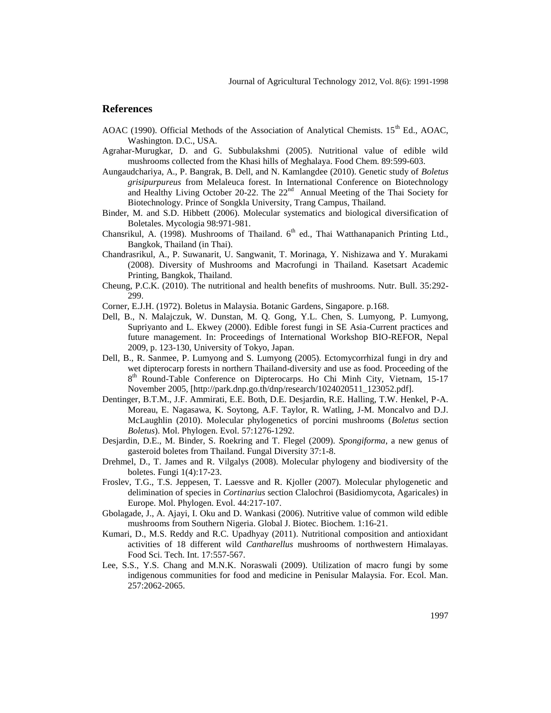#### **References**

- AOAC (1990). Official Methods of the Association of Analytical Chemists. 15<sup>th</sup> Ed., AOAC, Washington. D.C., USA.
- Agrahar-Murugkar, D. and G. Subbulakshmi (2005). Nutritional value of edible wild mushrooms collected from the Khasi hills of Meghalaya. Food Chem. 89:599-603.
- Aungaudchariya, A., P. Bangrak, B. Dell, and N. Kamlangdee (2010). Genetic study of *Boletus grisipurpureus* from Melaleuca forest. In International Conference on Biotechnology and Healthy Living October 20-22. The  $22<sup>nd</sup>$  Annual Meeting of the Thai Society for Biotechnology. Prince of Songkla University, Trang Campus, Thailand.
- Binder, M. and S.D. Hibbett (2006). Molecular systematics and biological diversification of Boletales. Mycologia 98:971-981.
- Chansrikul, A. (1998). Mushrooms of Thailand. 6<sup>th</sup> ed., Thai Watthanapanich Printing Ltd., Bangkok, Thailand (in Thai).
- Chandrasrikul, A., P. Suwanarit, U. Sangwanit, T. Morinaga, Y. Nishizawa and Y. Murakami (2008). Diversity of Mushrooms and Macrofungi in Thailand*.* Kasetsart Academic Printing, Bangkok, Thailand.
- Cheung, P.C.K. (2010). The nutritional and health benefits of mushrooms. Nutr. Bull. 35:292- 299.
- Corner, E.J.H. (1972). Boletus in Malaysia. Botanic Gardens, Singapore. p.168.
- Dell, B., N. Malajczuk, W. Dunstan, M. Q. Gong, Y.L. Chen, S. Lumyong, P. Lumyong, Supriyanto and L. Ekwey (2000). Edible forest fungi in SE Asia-Current practices and future management. In: Proceedings of International Workshop BIO-REFOR, Nepal 2009, p. 123-130, University of Tokyo, Japan.
- Dell, B., R. Sanmee, P. Lumyong and S. Lumyong (2005). Ectomycorrhizal fungi in dry and wet dipterocarp forests in northern Thailand-diversity and use as food. Proceeding of the 8<sup>th</sup> Round-Table Conference on Dipterocarps. Ho Chi Minh City, Vietnam, 15-17 November 2005, [http://park.dnp.go.th/dnp/research/1024020511\_123052.pdf].
- Dentinger, B.T.M., J.F. Ammirati, E.E. Both, D.E. Desjardin, R.E. Halling, T.W. Henkel, P-A. Moreau, E. Nagasawa, K. Soytong, A.F. Taylor, R. Watling, J-M. Moncalvo and D.J. McLaughlin (2010). Molecular phylogenetics of porcini mushrooms (*Boletus* section *Boletus*). Mol. Phylogen. Evol. 57:1276-1292.
- Desjardin, D.E., M. Binder, S. Roekring and T. Flegel (2009). *Spongiforma*, a new genus of gasteroid boletes from Thailand. Fungal Diversity 37:1-8.
- Drehmel, D., T. James and R. Vilgalys (2008). Molecular phylogeny and biodiversity of the boletes. Fungi 1(4):17-23.
- Froslev, T.G., T.S. Jeppesen, T. Laessve and R. Kjoller (2007). Molecular phylogenetic and delimination of species in *Cortinarius* section Clalochroi (Basidiomycota, Agaricales) in Europe. Mol. Phylogen. Evol. 44:217-107.
- Gbolagade, J., A. Ajayi, I. Oku and D. Wankasi (2006). Nutritive value of common wild edible mushrooms from Southern Nigeria. Global J. Biotec. Biochem. 1:16-21.
- Kumari, D., M.S. Reddy and R.C. Upadhyay (2011). Nutritional composition and antioxidant activities of 18 different wild *Cantharellus* mushrooms of northwestern Himalayas. Food Sci. Tech. Int. 17:557-567.
- Lee, S.S., Y.S. Chang and M.N.K. Noraswali (2009). Utilization of macro fungi by some indigenous communities for food and medicine in Penisular Malaysia. For. Ecol. Man. 257:2062-2065.